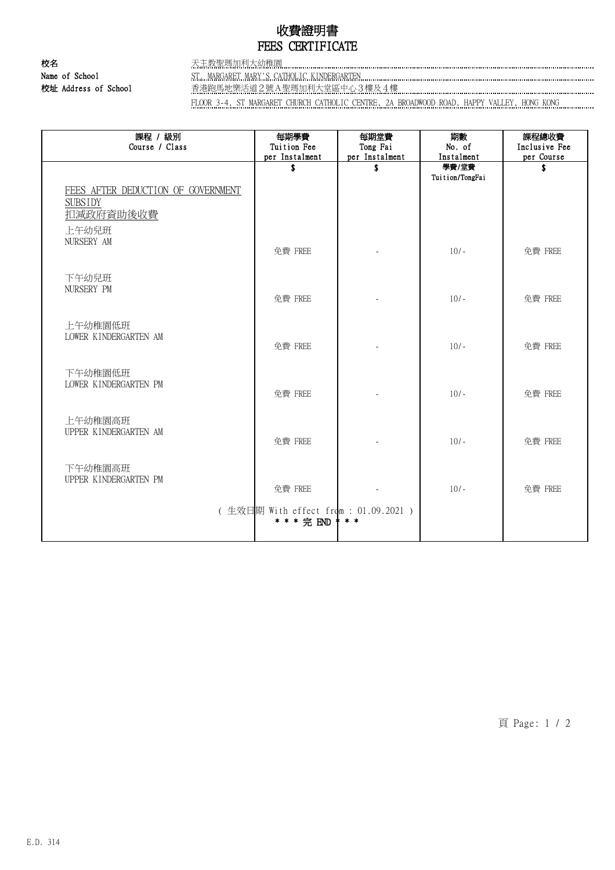## 收費證明書 FEES CERTIFICATE

校名 天主教聖瑪加利大幼稚園 Name of School ST. MARGARET MARY'S CATHOLIC KINDERGARTEN

校址 Address of School 香港跑馬地樂活道2號A聖瑪加利大堂區中心3樓及4樓

FLOOR 3-4, ST MARGARET CHURCH CATHOLIC CENTRE, 2A BROADWOOD ROAD, HAPPY VALLEY, HONG KONG

| 課程 / 級別<br>Course / Class                                         | 每期學費<br>Tuition Fee<br>per Instalment                | 每期堂費<br>Tong Fai<br>per Instalment | 期數<br>No. of<br>Instalment | 課程總收費<br>Inclusive Fee<br>per Course |
|-------------------------------------------------------------------|------------------------------------------------------|------------------------------------|----------------------------|--------------------------------------|
|                                                                   | \$                                                   | \$                                 | 學費/堂費<br>Tuition/TongFai   | \$                                   |
| FEES AFTER DEDUCTION OF GOVERNMENT<br><b>SUBSIDY</b><br>扣減政府資助後收費 |                                                      |                                    |                            |                                      |
| 上午幼兒班                                                             |                                                      |                                    |                            |                                      |
| NURSERY AM                                                        | 免費 FREE                                              |                                    | $10/-$                     | 免費 FREE                              |
| 下午幼兒班                                                             |                                                      |                                    |                            |                                      |
| NURSERY PM                                                        | 免費 FREE                                              |                                    | $10/-$                     | 免費 FREE                              |
| 上午幼稚園低班                                                           |                                                      |                                    |                            |                                      |
| LOWER KINDERGARTEN AM                                             | 免費 FREE                                              |                                    | $10/-$                     | 免費 FREE                              |
| 下午幼稚園低班                                                           |                                                      |                                    |                            |                                      |
| LOWER KINDERGARTEN PM                                             | 免費 FREE                                              |                                    | $10/-$                     | 免費 FREE                              |
| 上午幼稚園高班                                                           |                                                      |                                    |                            |                                      |
| UPPER KINDERGARTEN AM                                             | 免費 FREE                                              |                                    | $10/-$                     | 免費 FREE                              |
|                                                                   |                                                      |                                    |                            |                                      |
| 下午幼稚園高班<br>UPPER KINDERGARTEN PM                                  |                                                      |                                    |                            |                                      |
|                                                                   | 免費 FREE                                              |                                    | $10/-$                     | 免費 FREE                              |
|                                                                   | (生效日期 With effect from : 01.09.2021 )<br>* * * 完 END | $* *$                              |                            |                                      |

頁 Page: 1 / 2